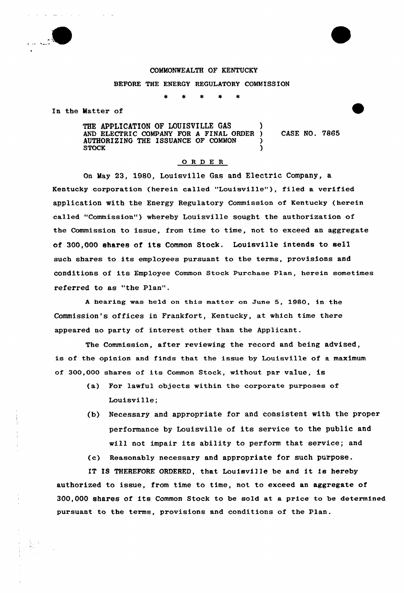

 $\alpha = 1, \alpha = 1, \alpha = 1$ 

## COMMONWEALTH OF KENTUCKY

BEFORE THE ENERGY REGULATORY COMMISSION

In the Matter of

THE APPLICATION OF LOUISVILLE GAS AND ELECTRIC COMPANY FOR A FINAL ORDER ) CASE NO. 7865 AUTHORIZING THE ISSUANCE OF COMMON  $\qquad$ STOCK (SECOND )

## ORDER

On May 23, 1980, Louisville Gas and Electric Company, a Kentucky corporation (herein called "Louisville"), filed a verified application with the Energy Regulatory Commission of Kentucky (herein called "Commission") whereby Louisville sought the authorization of the Commission to issue, from time to time, not to exceed an aggregate of 300,000 shares of its Common Stock. louisville intends to sell such shares to its employees pursuant to the terms, provisions and conditions of its Employee Common Stock Purchase Plan, herein sometimes referred to as "the Plan".

<sup>A</sup> heax ing wae held on this matter on June 5, 1980, in the Commission's offices in Frankfort, Kentucky, at which time there appeared no party of interest other than the Applicant.

The Commission, after reviewing the record and being advised, is of the opinion and finds that the issue by Louisville of a maximum of 300,000 shares of its Common Stock, without par value, is

- (a) For lawful objects within the corporate purposes of Louisville:
- {b) Necessary and appropriate for and consistent with the proper performance by Louisville of its service to the public and will not impair its ability to perform that service; and

(c) Reasonably necessary and appropriate fox'uch purpose.

IT IS THEREFORE ORDERED, that Louisville be and it is hereby authorized to issue, from time to time, not to exceed an aggregate of 300,000 shares of its Common Stock to be sold at a price to be determined puxsuant to the terms, pxovisions and conditions of the Plan.